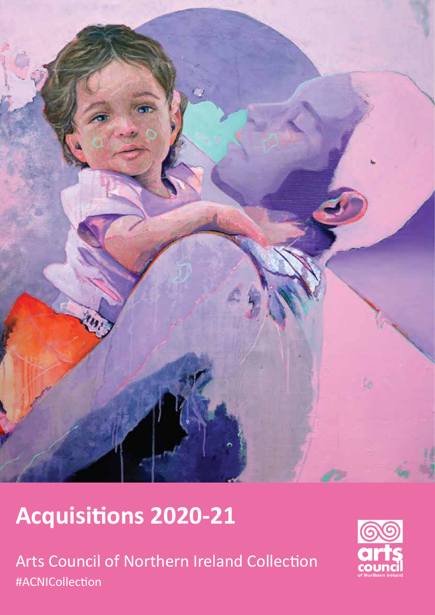

# **Acquisitions 2020-21**

Arts Council of Northern Ireland Collection #ACNICollection

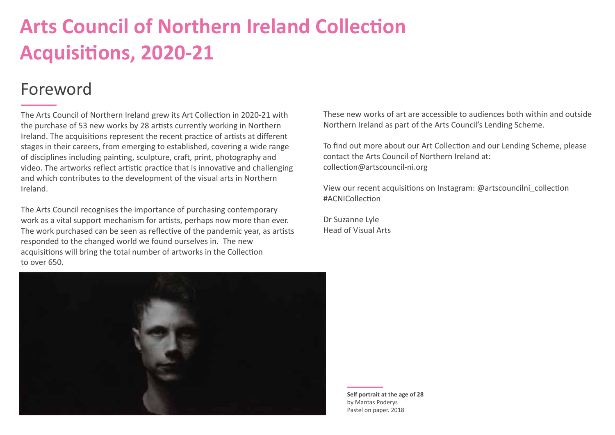## **Arts Council of Northern Ireland Collection Acquisitions, 2020-21**

## Foreword

The Arts Council of Northern Ireland grew its Art Collection in 2020-21 with the purchase of 53 new works by 28 artists currently working in Northern Ireland. The acquisitions represent the recent practice of artists at different stages in their careers, from emerging to established, covering a wide range of disciplines including painting, sculpture, craft, print, photography and video. The artworks reflect artistic practice that is innovative and challenging and which contributes to the development of the visual arts in Northern Ireland.

The Arts Council recognises the importance of purchasing contemporary work as a vital support mechanism for artists, perhaps now more than ever. The work purchased can be seen as reflective of the pandemic year, as artists responded to the changed world we found ourselves in. The new acquisitions will bring the total number of artworks in the Collection to over 650.

These new works of art are accessible to audiences both within and outside Northern Ireland as part of the Arts Council's Lending Scheme.

To find out more about our Art Collection and our Lending Scheme, please contact the Arts Council of Northern Ireland at: collection@artscouncil-ni.org

View our recent acquisitions on Instagram: @artscouncilni\_collection #ACNICollection

Dr Suzanne Lyle Head of Visual Arts



**Self portrait at the age of 28**  by Mantas Poderys Pastel on paper. 2018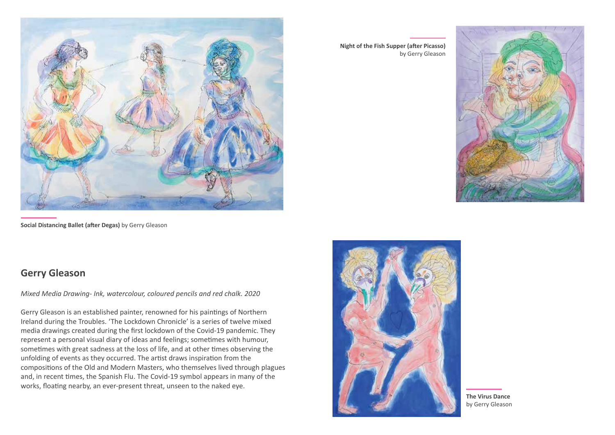

**Social Distancing Ballet (after Degas)** by Gerry Gleason

**Night of the Fish Supper (after Picasso)** by Gerry Gleason





## **Gerry Gleason**

*Mixed Media Drawing- Ink, watercolour, coloured pencils and red chalk. 2020*

Gerry Gleason is an established painter, renowned for his paintings of Northern Ireland during the Troubles. 'The Lockdown Chronicle' is a series of twelve mixed media drawings created during the first lockdown of the Covid-19 pandemic. They represent a personal visual diary of ideas and feelings; sometimes with humour, sometimes with great sadness at the loss of life, and at other times observing the unfolding of events as they occurred. The artist draws inspiration from the compositions of the Old and Modern Masters, who themselves lived through plagues and, in recent times, the Spanish Flu. The Covid-19 symbol appears in many of the works, floating nearby, an ever-present threat, unseen to the naked eye.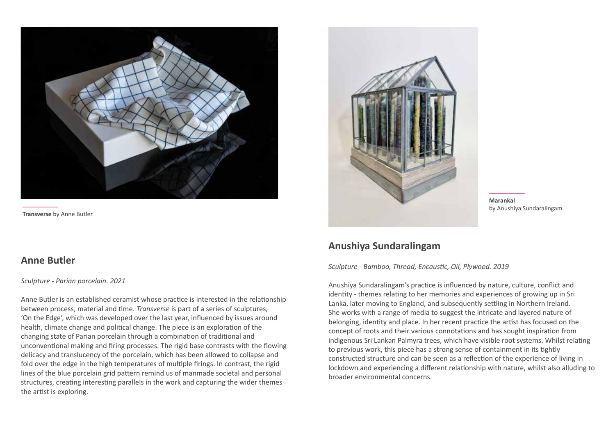

**Transverse** by Anne Butler

## **Anne Butler**

#### *Sculpture - Parian porcelain. 2021*

Anne Butler is an established ceramist whose practice is interested in the relationship between process, material and time. *Transverse* is part of a series of sculptures, 'On the Edge', which was developed over the last year, influenced by issues around health, climate change and political change. The piece is an exploration of the changing state of Parian porcelain through a combination of traditional and unconventional making and firing processes. The rigid base contrasts with the flowing delicacy and translucency of the porcelain, which has been allowed to collapse and fold over the edge in the high temperatures of multiple firings. In contrast, the rigid lines of the blue porcelain grid pattern remind us of manmade societal and personal structures, creating interesting parallels in the work and capturing the wider themes the artist is exploring.



**Marankal**  by Anushiya Sundaralingam

## **Anushiya Sundaralingam**

*Sculpture - Bamboo, Thread, Encaustic, Oil, Plywood. 2019*

Anushiya Sundaralingam's practice is influenced by nature, culture, conflict and identity - themes relating to her memories and experiences of growing up in Sri Lanka, later moving to England, and subsequently settling in Northern Ireland. She works with a range of media to suggest the intricate and layered nature of belonging, identity and place. In her recent practice the artist has focused on the concept of roots and their various connotations and has sought inspiration from indigenous Sri Lankan Palmyra trees, which have visible root systems. Whilst relating to previous work, this piece has a strong sense of containment in its tightly constructed structure and can be seen as a reflection of the experience of living in lockdown and experiencing a different relationship with nature, whilst also alluding to broader environmental concerns.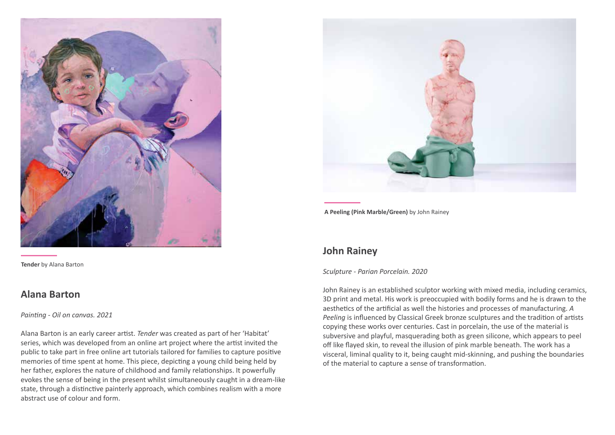

**Tender** by Alana Barton

## **Alana Barton**

*Painting - Oil on canvas. 2021*

Alana Barton is an early career artist. *Tender* was created as part of her 'Habitat' series, which was developed from an online art project where the artist invited the public to take part in free online art tutorials tailored for families to capture positive memories of time spent at home. This piece, depicting a young child being held by her father, explores the nature of childhood and family relationships. It powerfully evokes the sense of being in the present whilst simultaneously caught in a dream-like state, through a distinctive painterly approach, which combines realism with a more abstract use of colour and form.



**A Peeling (Pink Marble/Green)** by John Rainey

## **John Rainey**

#### *Sculpture - Parian Porcelain. 2020*

John Rainey is an established sculptor working with mixed media, including ceramics, 3D print and metal. His work is preoccupied with bodily forms and he is drawn to the aesthetics of the artificial as well the histories and processes of manufacturing. *A Peeling* is influenced by Classical Greek bronze sculptures and the tradition of artists copying these works over centuries. Cast in porcelain, the use of the material is subversive and playful, masquerading both as green silicone, which appears to peel off like flayed skin, to reveal the illusion of pink marble beneath. The work has a visceral, liminal quality to it, being caught mid-skinning, and pushing the boundaries of the material to capture a sense of transformation.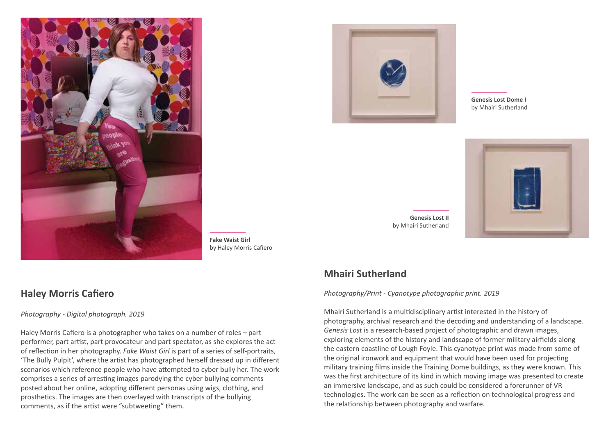



**Genesis Lost Dome I** by Mhairi Sutherland



**Genesis Lost II** by Mhairi Sutherland

## **Mhairi Sutherland**

*Photography/Print - Cyanotype photographic print. 2019*

Mhairi Sutherland is a multidisciplinary artist interested in the history of photography, archival research and the decoding and understanding of a landscape. *Genesis Lost* is a research-based project of photographic and drawn images, exploring elements of the history and landscape of former military airfields along the eastern coastline of Lough Foyle. This cyanotype print was made from some of the original ironwork and equipment that would have been used for projecting military training films inside the Training Dome buildings, as they were known. This was the first architecture of its kind in which moving image was presented to create an immersive landscape, and as such could be considered a forerunner of VR technologies. The work can be seen as a reflection on technological progress and the relationship between photography and warfare.

## **Haley Morris Cafiero**

*Photography - Digital photograph. 2019*

Haley Morris Cafiero is a photographer who takes on a number of roles – part performer, part artist, part provocateur and part spectator, as she explores the act of reflection in her photography. *Fake Waist Girl* is part of a series of self-portraits, 'The Bully Pulpit', where the artist has photographed herself dressed up in different scenarios which reference people who have attempted to cyber bully her. The work comprises a series of arresting images parodying the cyber bullying comments posted about her online, adopting different personas using wigs, clothing, and prosthetics. The images are then overlayed with transcripts of the bullying comments, as if the artist were "subtweeting" them.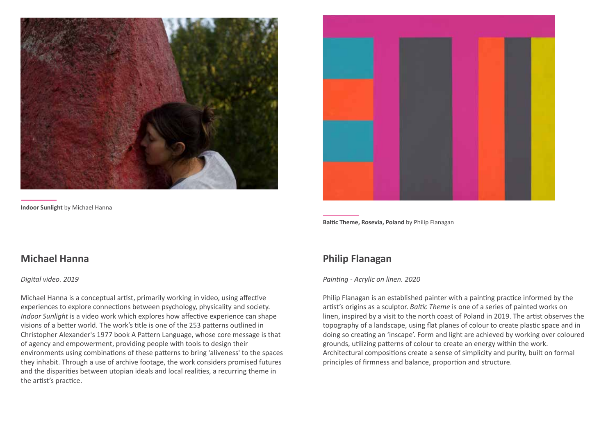

**Indoor Sunlight** by Michael Hanna

**Baltic Theme, Rosevia, Poland** by Philip Flanagan

## **Philip Flanagan**

#### *Painting - Acrylic on linen. 2020*

Philip Flanagan is an established painter with a painting practice informed by the artist's origins as a sculptor. *Baltic Theme* is one of a series of painted works on linen, inspired by a visit to the north coast of Poland in 2019. The artist observes the topography of a landscape, using flat planes of colour to create plastic space and in doing so creating an 'inscape'. Form and light are achieved by working over coloured grounds, utilizing patterns of colour to create an energy within the work. Architectural compositions create a sense of simplicity and purity, built on formal principles of firmness and balance, proportion and structure.

### **Michael Hanna**

#### *Digital video. 2019*

Michael Hanna is a conceptual artist, primarily working in video, using affective experiences to explore connections between psychology, physicality and society. *Indoor Sunlight* is a video work which explores how affective experience can shape visions of a better world. The work's title is one of the 253 patterns outlined in Christopher Alexander's 1977 book A Pattern Language, whose core message is that of agency and empowerment, providing people with tools to design their environments using combinations of these patterns to bring 'aliveness' to the spaces they inhabit. Through a use of archive footage, the work considers promised futures and the disparities between utopian ideals and local realities, a recurring theme in the artist's practice.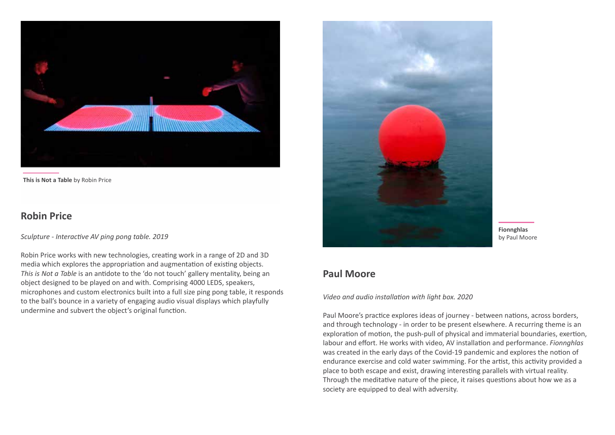

**This is Not a Table** by Robin Price

## **Robin Price**

*Sculpture - Interactive AV ping pong table. 2019* 

Robin Price works with new technologies, creating work in a range of 2D and 3D media which explores the appropriation and augmentation of existing objects. *This is Not a Table* is an antidote to the 'do not touch' gallery mentality, being an object designed to be played on and with. Comprising 4000 LEDS, speakers, microphones and custom electronics built into a full size ping pong table, it responds to the ball's bounce in a variety of engaging audio visual displays which playfully undermine and subvert the object's original function.



## **Paul Moore**

*Video and audio installation with light box. 2020*

Paul Moore's practice explores ideas of journey - between nations, across borders, and through technology - in order to be present elsewhere. A recurring theme is an exploration of motion, the push-pull of physical and immaterial boundaries, exertion, labour and effort. He works with video, AV installation and performance. *Fionnghlas*  was created in the early days of the Covid-19 pandemic and explores the notion of endurance exercise and cold water swimming. For the artist, this activity provided a place to both escape and exist, drawing interesting parallels with virtual reality. Through the meditative nature of the piece, it raises questions about how we as a society are equipped to deal with adversity.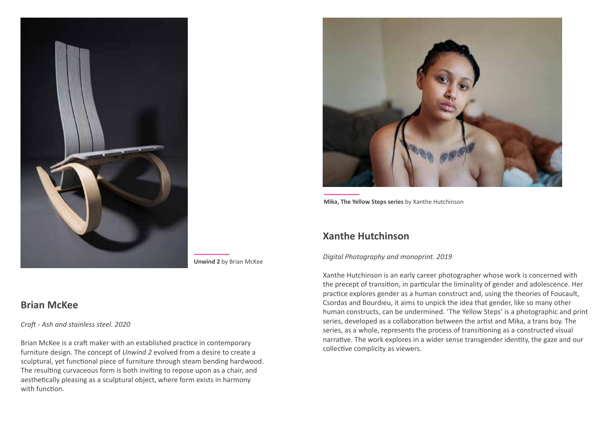

**Unwind 2** by Brian McKee

## **Brian McKee**

*Craft - Ash and stainless steel. 2020*

Brian McKee is a craft maker with an established practice in contemporary furniture design. The concept of *Unwind 2* evolved from a desire to create a sculptural, yet functional piece of furniture through steam bending hardwood. The resulting curvaceous form is both inviting to repose upon as a chair, and aesthetically pleasing as a sculptural object, where form exists in harmony with function.



**Mika, The Yellow Steps series** by Xanthe Hutchinson

## **Xanthe Hutchinson**

#### *Digital Photography and monoprint. 2019*

Xanthe Hutchinson is an early career photographer whose work is concerned with the precept of transition, in particular the liminality of gender and adolescence. Her practice explores gender as a human construct and, using the theories of Foucault, Csordas and Bourdieu, it aims to unpick the idea that gender, like so many other human constructs, can be undermined. 'The Yellow Steps' is a photographic and print series, developed as a collaboration between the artist and Mika, a trans boy. The series, as a whole, represents the process of transitioning as a constructed visual narrative. The work explores in a wider sense transgender identity, the gaze and our collective complicity as viewers.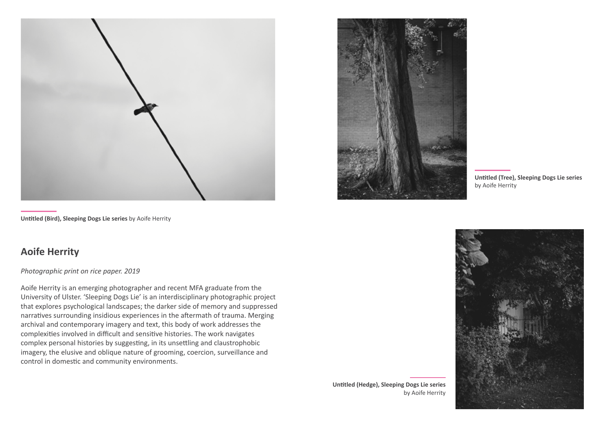



**Untitled (Tree), Sleeping Dogs Lie series**  by Aoife Herrity



by Aoife Herrity

**Untitled (Bird), Sleeping Dogs Lie series** by Aoife Herrity

## **Aoife Herrity**

*Photographic print on rice paper. 2019*

Aoife Herrity is an emerging photographer and recent MFA graduate from the University of Ulster. 'Sleeping Dogs Lie' is an interdisciplinary photographic project that explores psychological landscapes; the darker side of memory and suppressed narratives surrounding insidious experiences in the aftermath of trauma. Merging archival and contemporary imagery and text, this body of work addresses the complexities involved in difficult and sensitive histories. The work navigates complex personal histories by suggesting, in its unsettling and claustrophobic imagery, the elusive and oblique nature of grooming, coercion, surveillance and control in domestic and community environments.

**Untitled (Hedge), Sleeping Dogs Lie series**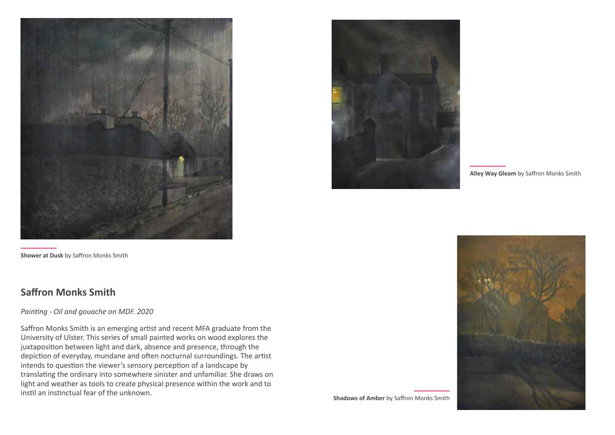

**Shower at Dusk** by Saffron Monks Smith

## **Saffron Monks Smith**

### *Painting - Oil and gouache on MDF. 2020*

Saffron Monks Smith is an emerging artist and recent MFA graduate from the University of Ulster. This series of small painted works on wood explores the juxtaposition between light and dark, absence and presence, through the depiction of everyday, mundane and often nocturnal surroundings. The artist intends to question the viewer's sensory perception of a landscape by translating the ordinary into somewhere sinister and unfamiliar. She draws on light and weather as tools to create physical presence within the work and to instil an instinctual fear of the unknown.



**Alley Way Gleam** by Saffron Monks Smith

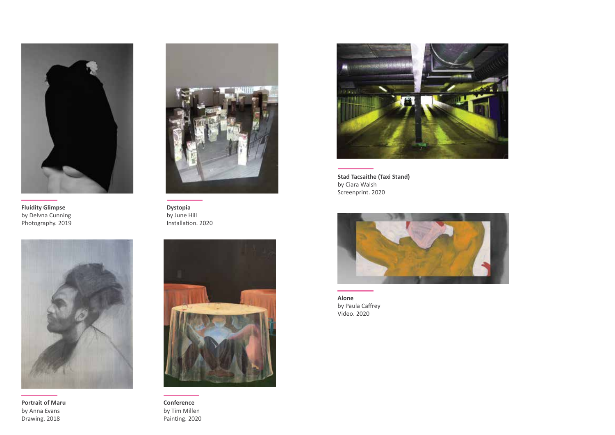

**Fluidity Glimpse** by Delvna Cunning Photography. 2019



**Dystopia** by June Hill Installation. 2020



**Portrait of Maru** by Anna Evans Drawing. 2018



**Conference** by Tim Millen Painting. 2020



**Stad Tacsaithe (Taxi Stand)** by Ciara Walsh Screenprint. 2020



**Alone** by Paula Caffrey Video. 2020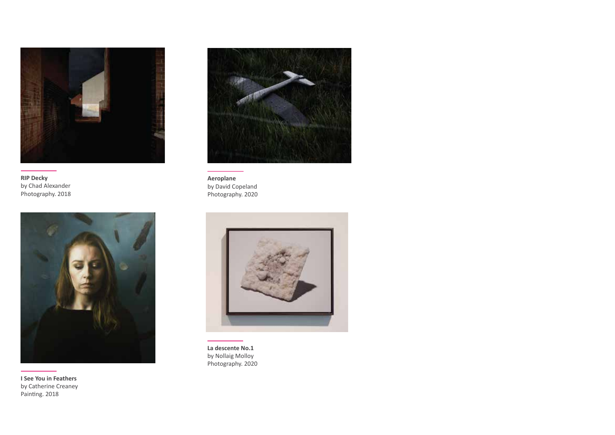

**RIP Decky** by Chad Alexander Photography. 2018



**I See You in Feathers** by Catherine Creaney Painting. 2018



**Aeroplane** by David Copeland Photography. 2020



**La descente No.1** by Nollaig Molloy Photography. 2020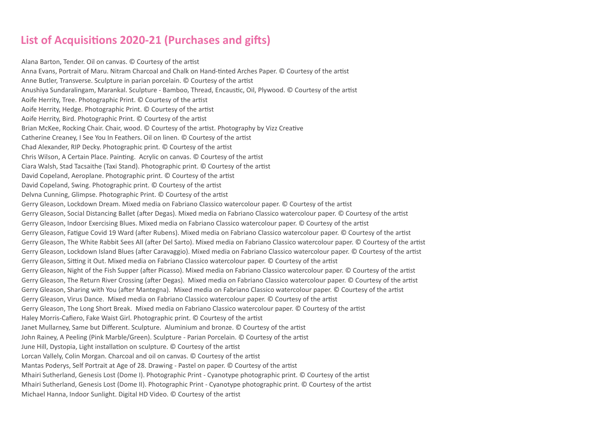## **List of Acquisitions 2020-21 (Purchases and gifts)**

Alana Barton, Tender. Oil on canvas. © Courtesy of the artist Anna Evans, Portrait of Maru. Nitram Charcoal and Chalk on Hand-tinted Arches Paper. © Courtesy of the artist Anne Butler, Transverse. Sculpture in parian porcelain. © Courtesy of the artist Anushiya Sundaralingam, Marankal. Sculpture - Bamboo, Thread, Encaustic, Oil, Plywood. © Courtesy of the artist Aoife Herrity, Tree. Photographic Print. © Courtesy of the artist Aoife Herrity, Hedge. Photographic Print. © Courtesy of the artist Aoife Herrity, Bird. Photographic Print. © Courtesy of the artist Brian McKee, Rocking Chair. Chair, wood. © Courtesy of the artist. Photography by Vizz Creative Catherine Creaney, I See You In Feathers. Oil on linen. © Courtesy of the artist Chad Alexander, RIP Decky. Photographic print. © Courtesy of the artist Chris Wilson, A Certain Place. Painting. Acrylic on canvas. © Courtesy of the artist Ciara Walsh, Stad Tacsaithe (Taxi Stand). Photographic print. © Courtesy of the artist David Copeland, Aeroplane. Photographic print. © Courtesy of the artist David Copeland, Swing. Photographic print. © Courtesy of the artist Delvna Cunning, Glimpse. Photographic Print. © Courtesy of the artist Gerry Gleason, Lockdown Dream. Mixed media on Fabriano Classico watercolour paper. © Courtesy of the artist Gerry Gleason, Social Distancing Ballet (after Degas). Mixed media on Fabriano Classico watercolour paper. © Courtesy of the artist Gerry Gleason, Indoor Exercising Blues. Mixed media on Fabriano Classico watercolour paper. © Courtesy of the artist Gerry Gleason, Fatigue Covid 19 Ward (after Rubens). Mixed media on Fabriano Classico watercolour paper. © Courtesy of the artist Gerry Gleason, The White Rabbit Sees All (after Del Sarto). Mixed media on Fabriano Classico watercolour paper. © Courtesy of the artist Gerry Gleason, Lockdown Island Blues (after Caravaggio). Mixed media on Fabriano Classico watercolour paper. © Courtesy of the artist Gerry Gleason, Sitting it Out. Mixed media on Fabriano Classico watercolour paper. © Courtesy of the artist Gerry Gleason, Night of the Fish Supper (after Picasso). Mixed media on Fabriano Classico watercolour paper. © Courtesy of the artist Gerry Gleason, The Return River Crossing (after Degas). Mixed media on Fabriano Classico watercolour paper. © Courtesy of the artist Gerry Gleason, Sharing with You (after Mantegna). Mixed media on Fabriano Classico watercolour paper. © Courtesy of the artist Gerry Gleason, Virus Dance. Mixed media on Fabriano Classico watercolour paper. © Courtesy of the artist Gerry Gleason, The Long Short Break. Mixed media on Fabriano Classico watercolour paper. © Courtesy of the artist Haley Morris-Cafiero, Fake Waist Girl. Photographic print. © Courtesy of the artist Janet Mullarney, Same but Different. Sculpture. Aluminium and bronze. © Courtesy of the artist John Rainey, A Peeling (Pink Marble/Green). Sculpture - Parian Porcelain. © Courtesy of the artist June Hill, Dystopia, Light installation on sculpture. © Courtesy of the artist Lorcan Vallely, Colin Morgan. Charcoal and oil on canvas. © Courtesy of the artist Mantas Poderys, Self Portrait at Age of 28. Drawing - Pastel on paper. © Courtesy of the artist Mhairi Sutherland, Genesis Lost (Dome I). Photographic Print - Cyanotype photographic print. © Courtesy of the artist Mhairi Sutherland, Genesis Lost (Dome II). Photographic Print - Cyanotype photographic print. © Courtesy of the artist Michael Hanna, Indoor Sunlight. Digital HD Video. © Courtesy of the artist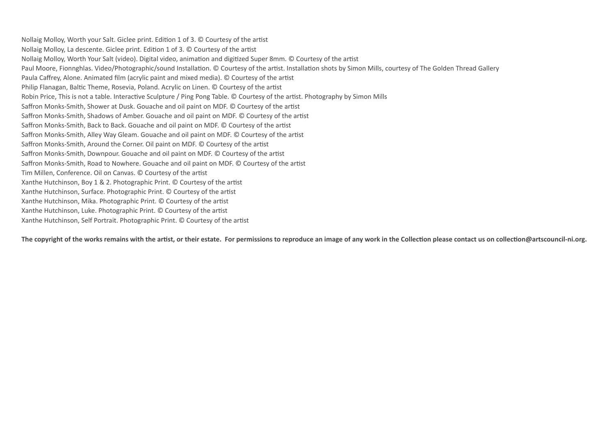Nollaig Molloy, Worth your Salt. Giclee print. Edition 1 of 3. © Courtesy of the artist Nollaig Molloy, La descente. Giclee print. Edition 1 of 3. © Courtesy of the artist Nollaig Molloy, Worth Your Salt (video). Digital video, animation and digitized Super 8mm. © Courtesy of the artist Paul Moore, Fionnghlas. Video/Photographic/sound Installation. © Courtesy of the artist. Installation shots by Simon Mills, courtesy of The Golden Thread Gallery Paula Caffrey, Alone. Animated film (acrylic paint and mixed media). © Courtesy of the artist Philip Flanagan, Baltic Theme, Rosevia, Poland. Acrylic on Linen. © Courtesy of the artist Robin Price, This is not a table. Interactive Sculpture / Ping Pong Table. © Courtesy of the artist. Photography by Simon Mills Saffron Monks-Smith, Shower at Dusk. Gouache and oil paint on MDF. © Courtesy of the artist Saffron Monks-Smith, Shadows of Amber. Gouache and oil paint on MDF. © Courtesy of the artist Saffron Monks-Smith, Back to Back. Gouache and oil paint on MDF. © Courtesy of the artist Saffron Monks-Smith, Alley Way Gleam. Gouache and oil paint on MDF. © Courtesy of the artist Saffron Monks-Smith, Around the Corner. Oil paint on MDF. © Courtesy of the artist Saffron Monks-Smith, Downpour. Gouache and oil paint on MDF. © Courtesy of the artist Saffron Monks-Smith, Road to Nowhere. Gouache and oil paint on MDF. © Courtesy of the artist Tim Millen, Conference. Oil on Canvas. © Courtesy of the artist Xanthe Hutchinson, Boy 1 & 2. Photographic Print. © Courtesy of the artist Xanthe Hutchinson, Surface. Photographic Print. © Courtesy of the artist Xanthe Hutchinson, Mika. Photographic Print. © Courtesy of the artist Xanthe Hutchinson, Luke. Photographic Print. © Courtesy of the artist Xanthe Hutchinson, Self Portrait. Photographic Print. © Courtesy of the artist

The copyright of the works remains with the artist, or their estate. For permissions to reproduce an image of any work in the Collection please contact us on collection@artscouncil-ni.org.